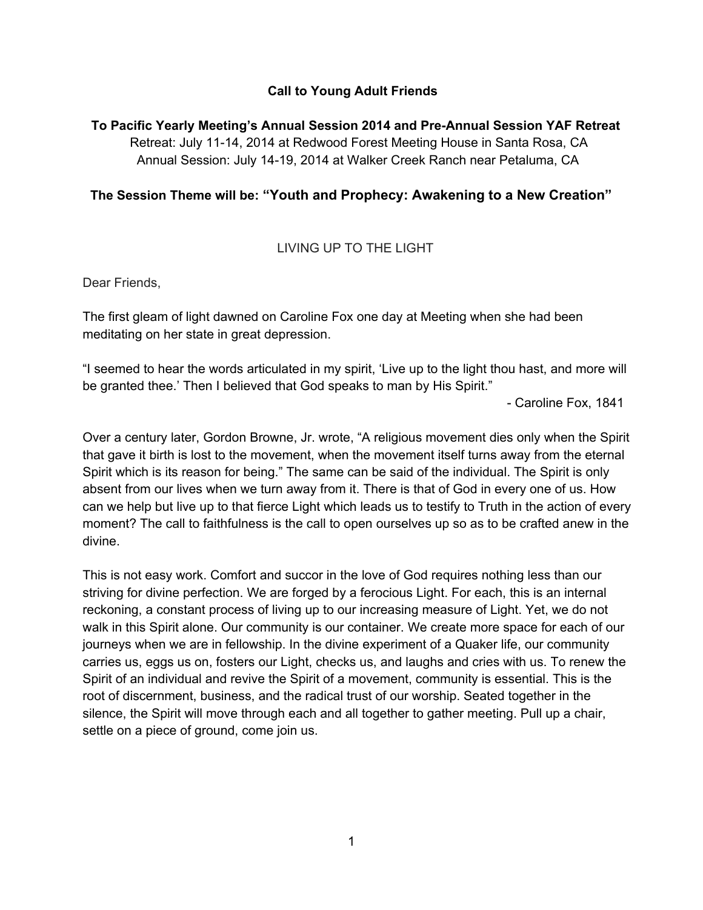## **Call to Young Adult Friends**

## **To Pacific Yearly Meeting's Annual Session 2014 and PreAnnual Session YAF Retreat**

Retreat: July 11-14, 2014 at Redwood Forest Meeting House in Santa Rosa, CA Annual Session: July 14-19, 2014 at Walker Creek Ranch near Petaluma, CA

### **The Session Theme will be: "Youth and Prophecy: Awakening to a New Creation"**

# LIVING UP TO THE LIGHT

Dear Friends,

The first gleam of light dawned on Caroline Fox one day at Meeting when she had been meditating on her state in great depression.

"I seemed to hear the words articulated in my spirit, 'Live up to the light thou hast, and more will be granted thee.' Then I believed that God speaks to man by His Spirit."

Caroline Fox, 1841

Over a century later, Gordon Browne, Jr. wrote, "A religious movement dies only when the Spirit that gave it birth is lost to the movement, when the movement itself turns away from the eternal Spirit which is its reason for being." The same can be said of the individual. The Spirit is only absent from our lives when we turn away from it. There is that of God in every one of us. How can we help but live up to that fierce Light which leads us to testify to Truth in the action of every moment? The call to faithfulness is the call to open ourselves up so as to be crafted anew in the divine.

This is not easy work. Comfort and succor in the love of God requires nothing less than our striving for divine perfection. We are forged by a ferocious Light. For each, this is an internal reckoning, a constant process of living up to our increasing measure of Light. Yet, we do not walk in this Spirit alone. Our community is our container. We create more space for each of our journeys when we are in fellowship. In the divine experiment of a Quaker life, our community carries us, eggs us on, fosters our Light, checks us, and laughs and cries with us. To renew the Spirit of an individual and revive the Spirit of a movement, community is essential. This is the root of discernment, business, and the radical trust of our worship. Seated together in the silence, the Spirit will move through each and all together to gather meeting. Pull up a chair, settle on a piece of ground, come join us.